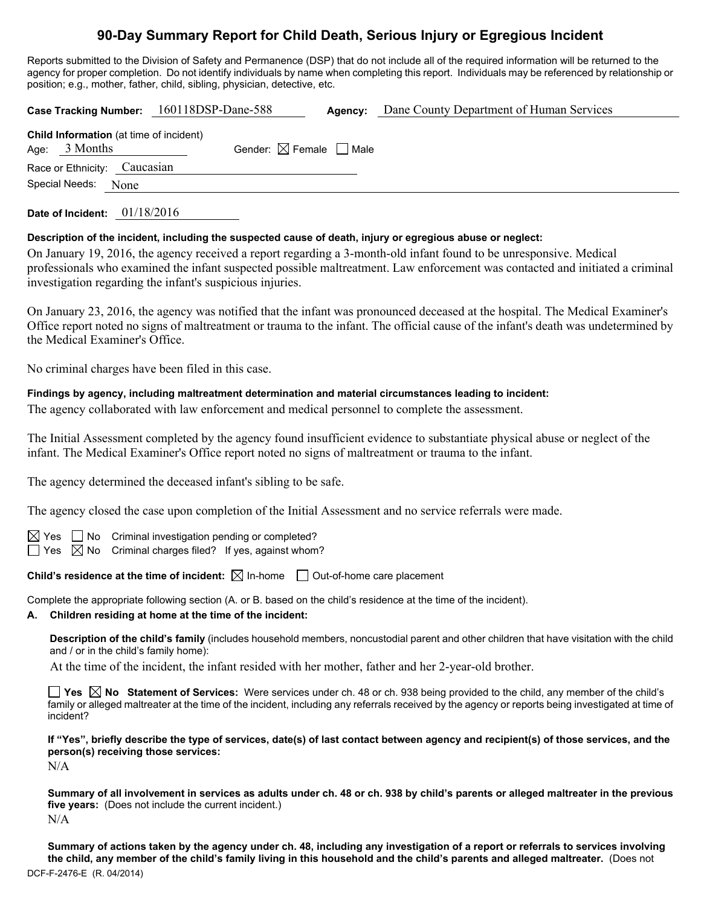# **90-Day Summary Report for Child Death, Serious Injury or Egregious Incident**

Reports submitted to the Division of Safety and Permanence (DSP) that do not include all of the required information will be returned to the agency for proper completion. Do not identify individuals by name when completing this report. Individuals may be referenced by relationship or position; e.g., mother, father, child, sibling, physician, detective, etc.

|                                                                   | Case Tracking Number: 160118DSP-Dane-588 | Agency: | Dane County Department of Human Services |  |  |  |  |
|-------------------------------------------------------------------|------------------------------------------|---------|------------------------------------------|--|--|--|--|
| <b>Child Information</b> (at time of incident)<br>Age: $3$ Months | Gender: $\boxtimes$ Female $\Box$ Male   |         |                                          |  |  |  |  |
| Race or Ethnicity: Caucasian<br>Special Needs:<br>None            |                                          |         |                                          |  |  |  |  |
|                                                                   |                                          |         |                                          |  |  |  |  |

**Date of Incident:** 01/18/2016

#### **Description of the incident, including the suspected cause of death, injury or egregious abuse or neglect:**

On January 19, 2016, the agency received a report regarding a 3-month-old infant found to be unresponsive. Medical professionals who examined the infant suspected possible maltreatment. Law enforcement was contacted and initiated a criminal investigation regarding the infant's suspicious injuries.

On January 23, 2016, the agency was notified that the infant was pronounced deceased at the hospital. The Medical Examiner's Office report noted no signs of maltreatment or trauma to the infant. The official cause of the infant's death was undetermined by the Medical Examiner's Office.

No criminal charges have been filed in this case.

#### **Findings by agency, including maltreatment determination and material circumstances leading to incident:**

The agency collaborated with law enforcement and medical personnel to complete the assessment.

The Initial Assessment completed by the agency found insufficient evidence to substantiate physical abuse or neglect of the infant. The Medical Examiner's Office report noted no signs of maltreatment or trauma to the infant.

The agency determined the deceased infant's sibling to be safe.

The agency closed the case upon completion of the Initial Assessment and no service referrals were made.

 $\Box$  No Criminal investigation pending or completed?  $\Box$  Yes  $\boxtimes$  No Criminal charges filed? If yes, against whom?

**Child's residence at the time of incident:**  $\boxtimes$  In-home  $\Box$  Out-of-home care placement

Complete the appropriate following section (A. or B. based on the child's residence at the time of the incident).

#### **A. Children residing at home at the time of the incident:**

**Description of the child's family** (includes household members, noncustodial parent and other children that have visitation with the child and / or in the child's family home):

At the time of the incident, the infant resided with her mother, father and her 2-year-old brother.

**Yes No Statement of Services:** Were services under ch. 48 or ch. 938 being provided to the child, any member of the child's family or alleged maltreater at the time of the incident, including any referrals received by the agency or reports being investigated at time of incident?

**If "Yes", briefly describe the type of services, date(s) of last contact between agency and recipient(s) of those services, and the person(s) receiving those services:**  N/A

**Summary of all involvement in services as adults under ch. 48 or ch. 938 by child's parents or alleged maltreater in the previous five years:** (Does not include the current incident.) N/A

DCF-F-2476-E (R. 04/2014) **Summary of actions taken by the agency under ch. 48, including any investigation of a report or referrals to services involving the child, any member of the child's family living in this household and the child's parents and alleged maltreater.** (Does not